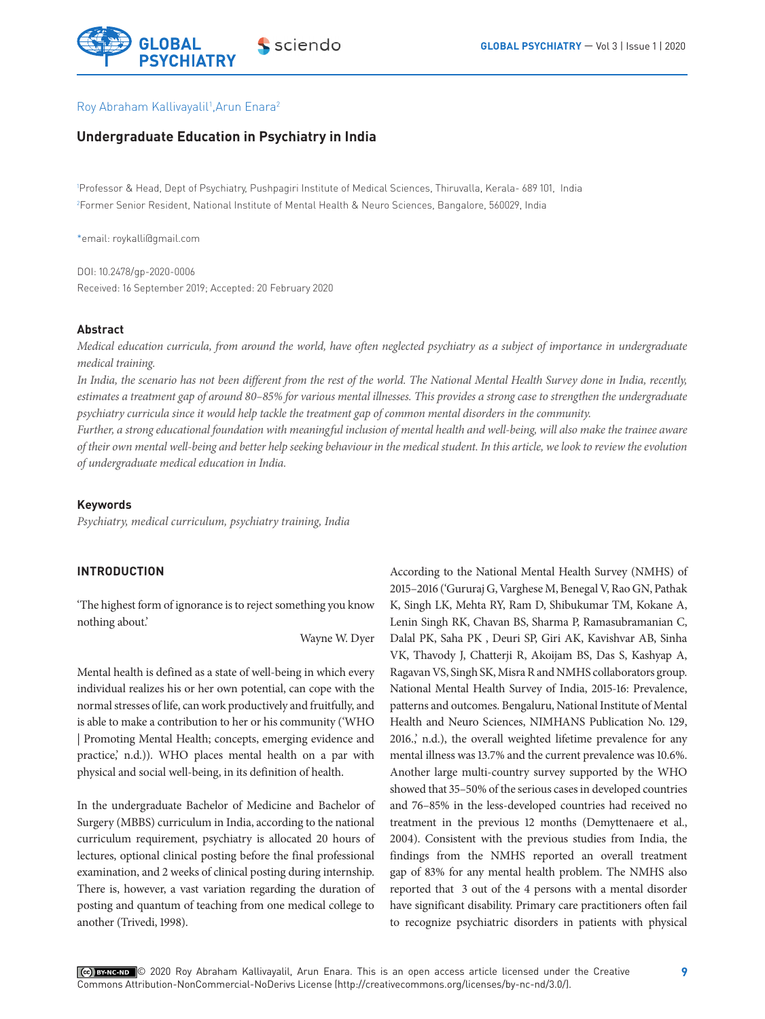

### Roy Abraham Kallivayalil<sup>1</sup>, Arun Enara<sup>2</sup>

# **Undergraduate Education in Psychiatry in India**

1 Professor & Head, Dept of Psychiatry, Pushpagiri Institute of Medical Sciences, Thiruvalla, Kerala- 689 101, India 2 Former Senior Resident, National Institute of Mental Health & Neuro Sciences, Bangalore, 560029, India

\*email: roykalli@gmail.com

DOI: 10.2478/gp-2020-0006 Received: 16 September 2019; Accepted: 20 February 2020

#### **Abstract**

*Medical education curricula, from around the world, have often neglected psychiatry as a subject of importance in undergraduate medical training.* 

*In India, the scenario has not been different from the rest of the world. The National Mental Health Survey done in India, recently, estimates a treatment gap of around 80–85% for various mental illnesses. This provides a strong case to strengthen the undergraduate psychiatry curricula since it would help tackle the treatment gap of common mental disorders in the community.* 

*Further, a strong educational foundation with meaningful inclusion of mental health and well-being, will also make the trainee aware of their own mental well-being and better help seeking behaviour in the medical student. In this article, we look to review the evolution of undergraduate medical education in India.* 

### **Keywords**

*Psychiatry, medical curriculum, psychiatry training, India*

## **INTRODUCTION**

'The highest form of ignorance is to reject something you know nothing about.'

Wayne W. Dyer

Mental health is defined as a state of well-being in which every individual realizes his or her own potential, can cope with the normal stresses of life, can work productively and fruitfully, and is able to make a contribution to her or his community ('WHO | Promoting Mental Health; concepts, emerging evidence and practice,' n.d.)). WHO places mental health on a par with physical and social well-being, in its definition of health.

In the undergraduate Bachelor of Medicine and Bachelor of Surgery (MBBS) curriculum in India, according to the national curriculum requirement, psychiatry is allocated 20 hours of lectures, optional clinical posting before the final professional examination, and 2 weeks of clinical posting during internship. There is, however, a vast variation regarding the duration of posting and quantum of teaching from one medical college to another (Trivedi, 1998).

According to the National Mental Health Survey (NMHS) of 2015–2016 ('Gururaj G, Varghese M, Benegal V, Rao GN, Pathak K, Singh LK, Mehta RY, Ram D, Shibukumar TM, Kokane A, Lenin Singh RK, Chavan BS, Sharma P, Ramasubramanian C, Dalal PK, Saha PK , Deuri SP, Giri AK, Kavishvar AB, Sinha VK, Thavody J, Chatterji R, Akoijam BS, Das S, Kashyap A, Ragavan VS, Singh SK, Misra R and NMHS collaborators group. National Mental Health Survey of India, 2015-16: Prevalence, patterns and outcomes. Bengaluru, National Institute of Mental Health and Neuro Sciences, NIMHANS Publication No. 129, 2016.,' n.d.), the overall weighted lifetime prevalence for any mental illness was 13.7% and the current prevalence was 10.6%. Another large multi-country survey supported by the WHO showed that 35–50% of the serious cases in developed countries and 76–85% in the less-developed countries had received no treatment in the previous 12 months (Demyttenaere et al., 2004). Consistent with the previous studies from India, the findings from the NMHS reported an overall treatment gap of 83% for any mental health problem. The NMHS also reported that 3 out of the 4 persons with a mental disorder have significant disability. Primary care practitioners often fail to recognize psychiatric disorders in patients with physical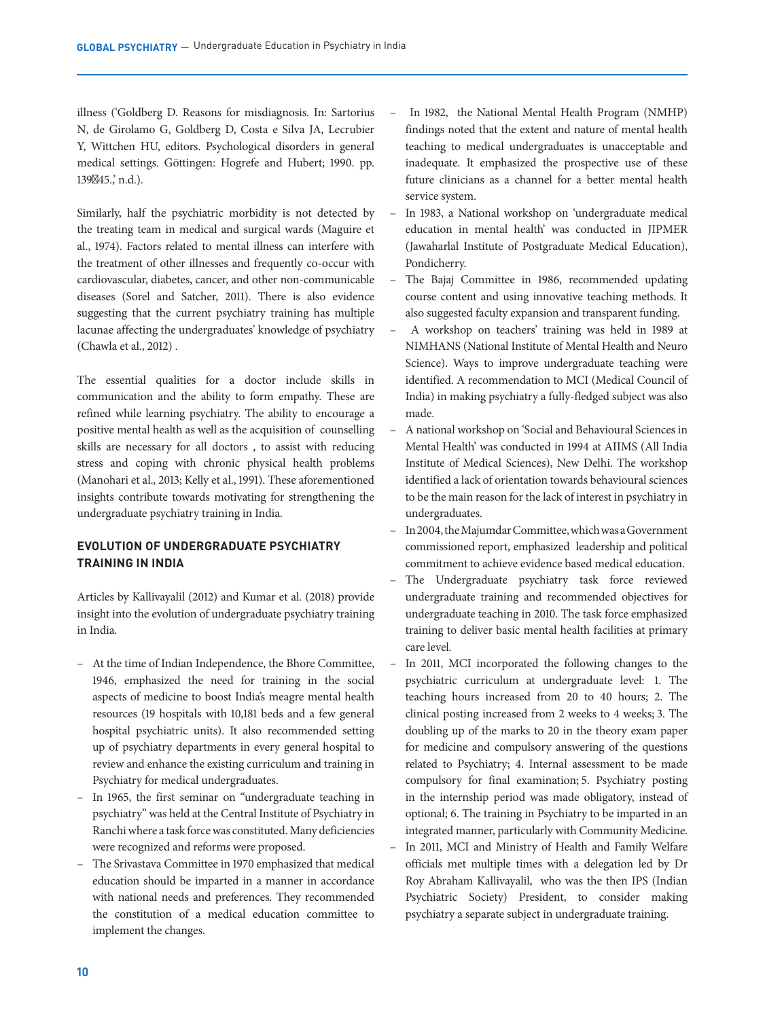illness ('Goldberg D. Reasons for misdiagnosis. In: Sartorius N, de Girolamo G, Goldberg D, Costa e Silva JA, Lecrubier Y, Wittchen HU, editors. Psychological disorders in general medical settings. Göttingen: Hogrefe and Hubert; 1990. pp. 139 45., n.d.).

Similarly, half the psychiatric morbidity is not detected by the treating team in medical and surgical wards (Maguire et al., 1974). Factors related to mental illness can interfere with the treatment of other illnesses and frequently co-occur with cardiovascular, diabetes, cancer, and other non-communicable diseases (Sorel and Satcher, 2011). There is also evidence suggesting that the current psychiatry training has multiple lacunae affecting the undergraduates' knowledge of psychiatry (Chawla et al., 2012) .

The essential qualities for a doctor include skills in communication and the ability to form empathy. These are refined while learning psychiatry. The ability to encourage a positive mental health as well as the acquisition of counselling skills are necessary for all doctors , to assist with reducing stress and coping with chronic physical health problems (Manohari et al., 2013; Kelly et al., 1991). These aforementioned insights contribute towards motivating for strengthening the undergraduate psychiatry training in India.

# **EVOLUTION OF UNDERGRADUATE PSYCHIATRY TRAINING IN INDIA**

Articles by Kallivayalil (2012) and Kumar et al. (2018) provide insight into the evolution of undergraduate psychiatry training in India.

- At the time of Indian Independence, the Bhore Committee, 1946, emphasized the need for training in the social aspects of medicine to boost India's meagre mental health resources (19 hospitals with 10,181 beds and a few general hospital psychiatric units). It also recommended setting up of psychiatry departments in every general hospital to review and enhance the existing curriculum and training in Psychiatry for medical undergraduates.
- In 1965, the first seminar on "undergraduate teaching in psychiatry" was held at the Central Institute of Psychiatry in Ranchi where a task force was constituted. Many deficiencies were recognized and reforms were proposed.
- The Srivastava Committee in 1970 emphasized that medical education should be imparted in a manner in accordance with national needs and preferences. They recommended the constitution of a medical education committee to implement the changes.
- In 1982, the National Mental Health Program (NMHP) findings noted that the extent and nature of mental health teaching to medical undergraduates is unacceptable and inadequate. It emphasized the prospective use of these future clinicians as a channel for a better mental health service system.
- In 1983, a National workshop on 'undergraduate medical education in mental health' was conducted in JIPMER (Jawaharlal Institute of Postgraduate Medical Education), Pondicherry.
- The Bajaj Committee in 1986, recommended updating course content and using innovative teaching methods. It also suggested faculty expansion and transparent funding.
- A workshop on teachers' training was held in 1989 at NIMHANS (National Institute of Mental Health and Neuro Science). Ways to improve undergraduate teaching were identified. A recommendation to MCI (Medical Council of India) in making psychiatry a fully-fledged subject was also made.
- A national workshop on 'Social and Behavioural Sciences in Mental Health' was conducted in 1994 at AIIMS (All India Institute of Medical Sciences), New Delhi. The workshop identified a lack of orientation towards behavioural sciences to be the main reason for the lack of interest in psychiatry in undergraduates.
- In 2004, the Majumdar Committee, which was a Government commissioned report, emphasized leadership and political commitment to achieve evidence based medical education.
- The Undergraduate psychiatry task force reviewed undergraduate training and recommended objectives for undergraduate teaching in 2010. The task force emphasized training to deliver basic mental health facilities at primary care level.
- In 2011, MCI incorporated the following changes to the psychiatric curriculum at undergraduate level: 1. The teaching hours increased from 20 to 40 hours; 2. The clinical posting increased from 2 weeks to 4 weeks; 3. The doubling up of the marks to 20 in the theory exam paper for medicine and compulsory answering of the questions related to Psychiatry; 4. Internal assessment to be made compulsory for final examination; 5. Psychiatry posting in the internship period was made obligatory, instead of optional; 6. The training in Psychiatry to be imparted in an integrated manner, particularly with Community Medicine.
- In 2011, MCI and Ministry of Health and Family Welfare officials met multiple times with a delegation led by Dr Roy Abraham Kallivayalil, who was the then IPS (Indian Psychiatric Society) President, to consider making psychiatry a separate subject in undergraduate training.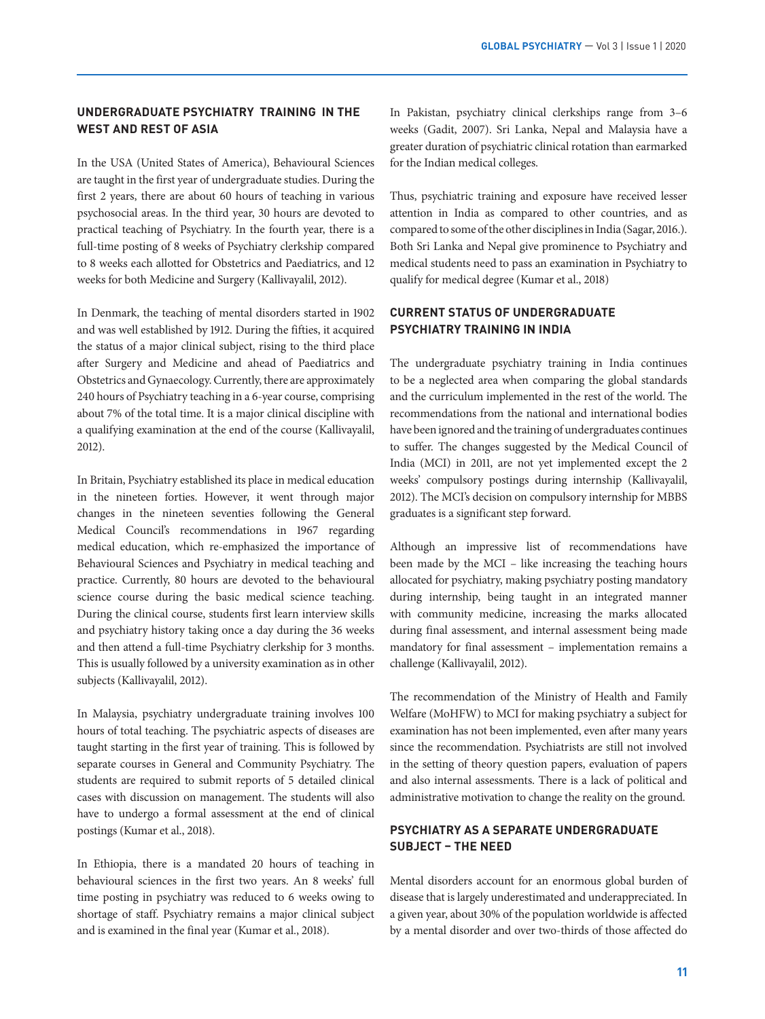# **UNDERGRADUATE PSYCHIATRY TRAINING IN THE WEST AND REST OF ASIA**

In the USA (United States of America), Behavioural Sciences are taught in the first year of undergraduate studies. During the first 2 years, there are about 60 hours of teaching in various psychosocial areas. In the third year, 30 hours are devoted to practical teaching of Psychiatry. In the fourth year, there is a full-time posting of 8 weeks of Psychiatry clerkship compared to 8 weeks each allotted for Obstetrics and Paediatrics, and 12 weeks for both Medicine and Surgery (Kallivayalil, 2012).

In Denmark, the teaching of mental disorders started in 1902 and was well established by 1912. During the fifties, it acquired the status of a major clinical subject, rising to the third place after Surgery and Medicine and ahead of Paediatrics and Obstetrics and Gynaecology. Currently, there are approximately 240 hours of Psychiatry teaching in a 6-year course, comprising about 7% of the total time. It is a major clinical discipline with a qualifying examination at the end of the course (Kallivayalil, 2012).

In Britain, Psychiatry established its place in medical education in the nineteen forties. However, it went through major changes in the nineteen seventies following the General Medical Council's recommendations in 1967 regarding medical education, which re-emphasized the importance of Behavioural Sciences and Psychiatry in medical teaching and practice. Currently, 80 hours are devoted to the behavioural science course during the basic medical science teaching. During the clinical course, students first learn interview skills and psychiatry history taking once a day during the 36 weeks and then attend a full-time Psychiatry clerkship for 3 months. This is usually followed by a university examination as in other subjects (Kallivayalil, 2012).

In Malaysia, psychiatry undergraduate training involves 100 hours of total teaching. The psychiatric aspects of diseases are taught starting in the first year of training. This is followed by separate courses in General and Community Psychiatry. The students are required to submit reports of 5 detailed clinical cases with discussion on management. The students will also have to undergo a formal assessment at the end of clinical postings (Kumar et al., 2018).

In Ethiopia, there is a mandated 20 hours of teaching in behavioural sciences in the first two years. An 8 weeks' full time posting in psychiatry was reduced to 6 weeks owing to shortage of staff. Psychiatry remains a major clinical subject and is examined in the final year (Kumar et al., 2018).

In Pakistan, psychiatry clinical clerkships range from 3–6 weeks (Gadit, 2007). Sri Lanka, Nepal and Malaysia have a greater duration of psychiatric clinical rotation than earmarked for the Indian medical colleges.

Thus, psychiatric training and exposure have received lesser attention in India as compared to other countries, and as compared to some of the other disciplines in India (Sagar, 2016.). Both Sri Lanka and Nepal give prominence to Psychiatry and medical students need to pass an examination in Psychiatry to qualify for medical degree (Kumar et al., 2018)

# **CURRENT STATUS OF UNDERGRADUATE PSYCHIATRY TRAINING IN INDIA**

The undergraduate psychiatry training in India continues to be a neglected area when comparing the global standards and the curriculum implemented in the rest of the world. The recommendations from the national and international bodies have been ignored and the training of undergraduates continues to suffer. The changes suggested by the Medical Council of India (MCI) in 2011, are not yet implemented except the 2 weeks' compulsory postings during internship (Kallivayalil, 2012). The MCI's decision on compulsory internship for MBBS graduates is a significant step forward.

Although an impressive list of recommendations have been made by the MCI – like increasing the teaching hours allocated for psychiatry, making psychiatry posting mandatory during internship, being taught in an integrated manner with community medicine, increasing the marks allocated during final assessment, and internal assessment being made mandatory for final assessment – implementation remains a challenge (Kallivayalil, 2012).

The recommendation of the Ministry of Health and Family Welfare (MoHFW) to MCI for making psychiatry a subject for examination has not been implemented, even after many years since the recommendation. Psychiatrists are still not involved in the setting of theory question papers, evaluation of papers and also internal assessments. There is a lack of political and administrative motivation to change the reality on the ground.

# **PSYCHIATRY AS A SEPARATE UNDERGRADUATE SUBJECT – THE NEED**

Mental disorders account for an enormous global burden of disease that is largely underestimated and underappreciated. In a given year, about 30% of the population worldwide is affected by a mental disorder and over two-thirds of those affected do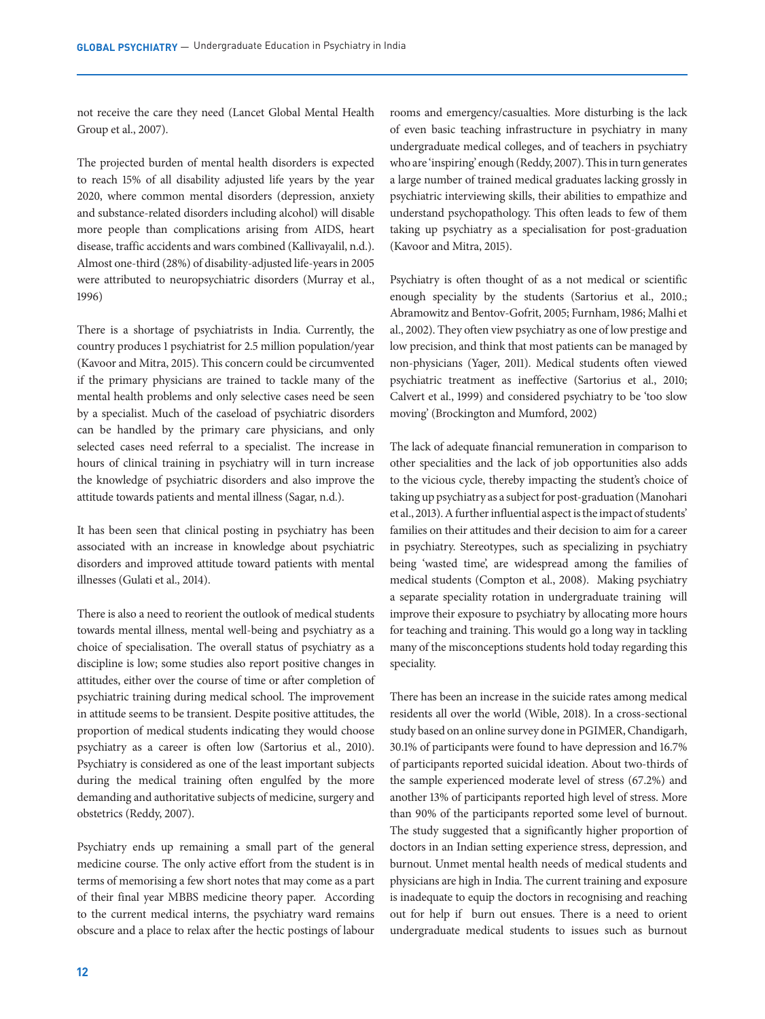not receive the care they need (Lancet Global Mental Health Group et al., 2007).

The projected burden of mental health disorders is expected to reach 15% of all disability adjusted life years by the year 2020, where common mental disorders (depression, anxiety and substance-related disorders including alcohol) will disable more people than complications arising from AIDS, heart disease, traffic accidents and wars combined (Kallivayalil, n.d.). Almost one-third (28%) of disability-adjusted life-years in 2005 were attributed to neuropsychiatric disorders (Murray et al., 1996)

There is a shortage of psychiatrists in India. Currently, the country produces 1 psychiatrist for 2.5 million population/year (Kavoor and Mitra, 2015). This concern could be circumvented if the primary physicians are trained to tackle many of the mental health problems and only selective cases need be seen by a specialist. Much of the caseload of psychiatric disorders can be handled by the primary care physicians, and only selected cases need referral to a specialist. The increase in hours of clinical training in psychiatry will in turn increase the knowledge of psychiatric disorders and also improve the attitude towards patients and mental illness (Sagar, n.d.).

It has been seen that clinical posting in psychiatry has been associated with an increase in knowledge about psychiatric disorders and improved attitude toward patients with mental illnesses (Gulati et al., 2014).

There is also a need to reorient the outlook of medical students towards mental illness, mental well-being and psychiatry as a choice of specialisation. The overall status of psychiatry as a discipline is low; some studies also report positive changes in attitudes, either over the course of time or after completion of psychiatric training during medical school. The improvement in attitude seems to be transient. Despite positive attitudes, the proportion of medical students indicating they would choose psychiatry as a career is often low (Sartorius et al., 2010). Psychiatry is considered as one of the least important subjects during the medical training often engulfed by the more demanding and authoritative subjects of medicine, surgery and obstetrics (Reddy, 2007).

Psychiatry ends up remaining a small part of the general medicine course. The only active effort from the student is in terms of memorising a few short notes that may come as a part of their final year MBBS medicine theory paper. According to the current medical interns, the psychiatry ward remains obscure and a place to relax after the hectic postings of labour

rooms and emergency/casualties. More disturbing is the lack of even basic teaching infrastructure in psychiatry in many undergraduate medical colleges, and of teachers in psychiatry who are 'inspiring' enough (Reddy, 2007). This in turn generates a large number of trained medical graduates lacking grossly in psychiatric interviewing skills, their abilities to empathize and understand psychopathology. This often leads to few of them taking up psychiatry as a specialisation for post-graduation (Kavoor and Mitra, 2015).

Psychiatry is often thought of as a not medical or scientific enough speciality by the students (Sartorius et al., 2010.; Abramowitz and Bentov-Gofrit, 2005; Furnham, 1986; Malhi et al., 2002). They often view psychiatry as one of low prestige and low precision, and think that most patients can be managed by non-physicians (Yager, 2011). Medical students often viewed psychiatric treatment as ineffective (Sartorius et al., 2010; Calvert et al., 1999) and considered psychiatry to be 'too slow moving' (Brockington and Mumford, 2002)

The lack of adequate financial remuneration in comparison to other specialities and the lack of job opportunities also adds to the vicious cycle, thereby impacting the student's choice of taking up psychiatry as a subject for post-graduation (Manohari et al., 2013). A further influential aspect is the impact of students' families on their attitudes and their decision to aim for a career in psychiatry. Stereotypes, such as specializing in psychiatry being 'wasted time', are widespread among the families of medical students (Compton et al., 2008). Making psychiatry a separate speciality rotation in undergraduate training will improve their exposure to psychiatry by allocating more hours for teaching and training. This would go a long way in tackling many of the misconceptions students hold today regarding this speciality.

There has been an increase in the suicide rates among medical residents all over the world (Wible, 2018). In a cross-sectional study based on an online survey done in PGIMER, Chandigarh, 30.1% of participants were found to have depression and 16.7% of participants reported suicidal ideation. About two-thirds of the sample experienced moderate level of stress (67.2%) and another 13% of participants reported high level of stress. More than 90% of the participants reported some level of burnout. The study suggested that a significantly higher proportion of doctors in an Indian setting experience stress, depression, and burnout. Unmet mental health needs of medical students and physicians are high in India. The current training and exposure is inadequate to equip the doctors in recognising and reaching out for help if burn out ensues. There is a need to orient undergraduate medical students to issues such as burnout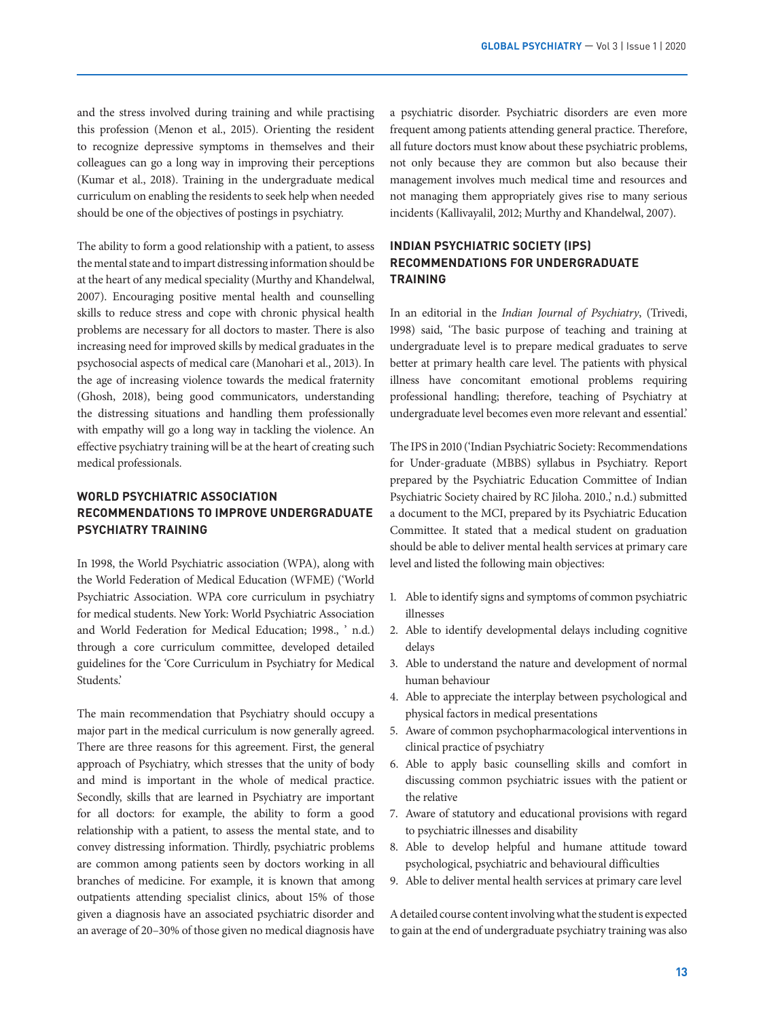and the stress involved during training and while practising this profession (Menon et al., 2015). Orienting the resident to recognize depressive symptoms in themselves and their colleagues can go a long way in improving their perceptions (Kumar et al., 2018). Training in the undergraduate medical curriculum on enabling the residents to seek help when needed should be one of the objectives of postings in psychiatry.

The ability to form a good relationship with a patient, to assess the mental state and to impart distressing information should be at the heart of any medical speciality (Murthy and Khandelwal, 2007). Encouraging positive mental health and counselling skills to reduce stress and cope with chronic physical health problems are necessary for all doctors to master. There is also increasing need for improved skills by medical graduates in the psychosocial aspects of medical care (Manohari et al., 2013). In the age of increasing violence towards the medical fraternity (Ghosh, 2018), being good communicators, understanding the distressing situations and handling them professionally with empathy will go a long way in tackling the violence. An effective psychiatry training will be at the heart of creating such medical professionals.

# **WORLD PSYCHIATRIC ASSOCIATION RECOMMENDATIONS TO IMPROVE UNDERGRADUATE PSYCHIATRY TRAINING**

In 1998, the World Psychiatric association (WPA), along with the World Federation of Medical Education (WFME) ('World Psychiatric Association. WPA core curriculum in psychiatry for medical students. New York: World Psychiatric Association and World Federation for Medical Education; 1998., ' n.d.) through a core curriculum committee, developed detailed guidelines for the 'Core Curriculum in Psychiatry for Medical Students.'

The main recommendation that Psychiatry should occupy a major part in the medical curriculum is now generally agreed. There are three reasons for this agreement. First, the general approach of Psychiatry, which stresses that the unity of body and mind is important in the whole of medical practice. Secondly, skills that are learned in Psychiatry are important for all doctors: for example, the ability to form a good relationship with a patient, to assess the mental state, and to convey distressing information. Thirdly, psychiatric problems are common among patients seen by doctors working in all branches of medicine. For example, it is known that among outpatients attending specialist clinics, about 15% of those given a diagnosis have an associated psychiatric disorder and an average of 20–30% of those given no medical diagnosis have

a psychiatric disorder. Psychiatric disorders are even more frequent among patients attending general practice. Therefore, all future doctors must know about these psychiatric problems, not only because they are common but also because their management involves much medical time and resources and not managing them appropriately gives rise to many serious incidents (Kallivayalil, 2012; Murthy and Khandelwal, 2007).

# **INDIAN PSYCHIATRIC SOCIETY (IPS) RECOMMENDATIONS FOR UNDERGRADUATE TRAINING**

In an editorial in the *Indian Journal of Psychiatry*, (Trivedi, 1998) said, 'The basic purpose of teaching and training at undergraduate level is to prepare medical graduates to serve better at primary health care level. The patients with physical illness have concomitant emotional problems requiring professional handling; therefore, teaching of Psychiatry at undergraduate level becomes even more relevant and essential.'

The IPS in 2010 ('Indian Psychiatric Society: Recommendations for Under‐graduate (MBBS) syllabus in Psychiatry. Report prepared by the Psychiatric Education Committee of Indian Psychiatric Society chaired by RC Jiloha. 2010.,' n.d.) submitted a document to the MCI, prepared by its Psychiatric Education Committee. It stated that a medical student on graduation should be able to deliver mental health services at primary care level and listed the following main objectives:

- 1. Able to identify signs and symptoms of common psychiatric illnesses
- 2. Able to identify developmental delays including cognitive delays
- 3. Able to understand the nature and development of normal human behaviour
- 4. Able to appreciate the interplay between psychological and physical factors in medical presentations
- 5. Aware of common psychopharmacological interventions in clinical practice of psychiatry
- 6. Able to apply basic counselling skills and comfort in discussing common psychiatric issues with the patient or the relative
- 7. Aware of statutory and educational provisions with regard to psychiatric illnesses and disability
- 8. Able to develop helpful and humane attitude toward psychological, psychiatric and behavioural difficulties
- 9. Able to deliver mental health services at primary care level

A detailed course content involving what the student is expected to gain at the end of undergraduate psychiatry training was also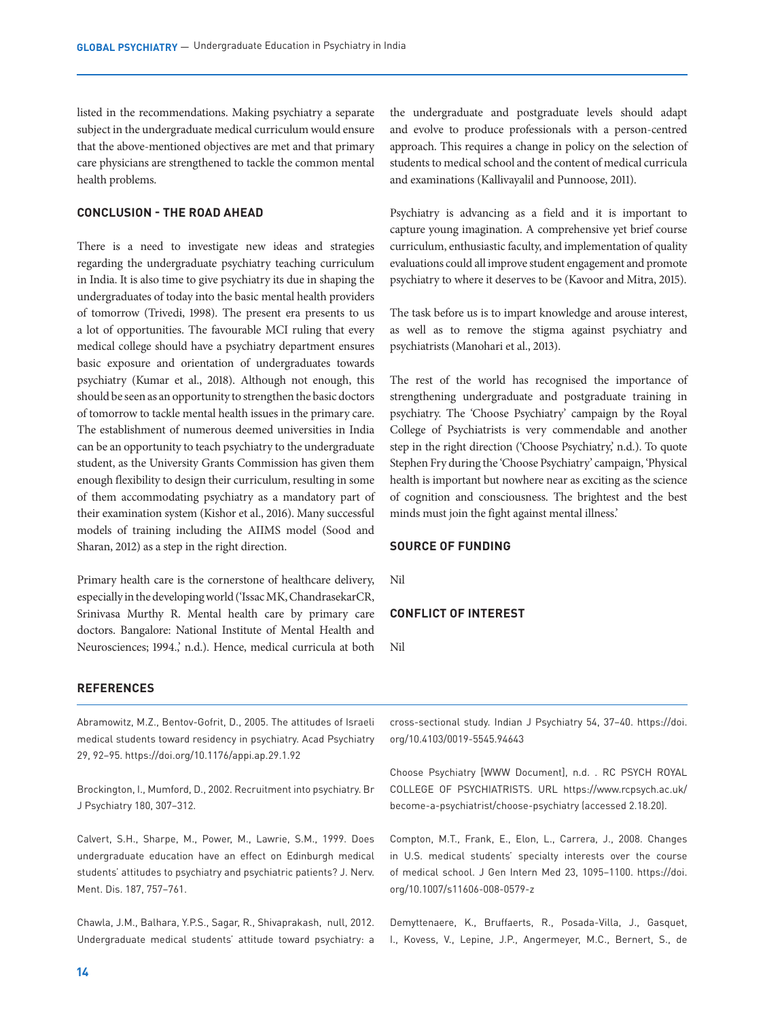listed in the recommendations. Making psychiatry a separate subject in the undergraduate medical curriculum would ensure that the above-mentioned objectives are met and that primary care physicians are strengthened to tackle the common mental health problems.

### **CONCLUSION - THE ROAD AHEAD**

There is a need to investigate new ideas and strategies regarding the undergraduate psychiatry teaching curriculum in India. It is also time to give psychiatry its due in shaping the undergraduates of today into the basic mental health providers of tomorrow (Trivedi, 1998). The present era presents to us a lot of opportunities. The favourable MCI ruling that every medical college should have a psychiatry department ensures basic exposure and orientation of undergraduates towards psychiatry (Kumar et al., 2018). Although not enough, this should be seen as an opportunity to strengthen the basic doctors of tomorrow to tackle mental health issues in the primary care. The establishment of numerous deemed universities in India can be an opportunity to teach psychiatry to the undergraduate student, as the University Grants Commission has given them enough flexibility to design their curriculum, resulting in some of them accommodating psychiatry as a mandatory part of their examination system (Kishor et al., 2016). Many successful models of training including the AIIMS model (Sood and Sharan, 2012) as a step in the right direction.

Primary health care is the cornerstone of healthcare delivery, especially in the developing world ('Issac MK, ChandrasekarCR, Srinivasa Murthy R. Mental health care by primary care doctors. Bangalore: National Institute of Mental Health and Neurosciences; 1994.,' n.d.). Hence, medical curricula at both the undergraduate and postgraduate levels should adapt and evolve to produce professionals with a person-centred approach. This requires a change in policy on the selection of students to medical school and the content of medical curricula and examinations (Kallivayalil and Punnoose, 2011).

Psychiatry is advancing as a field and it is important to capture young imagination. A comprehensive yet brief course curriculum, enthusiastic faculty, and implementation of quality evaluations could all improve student engagement and promote psychiatry to where it deserves to be (Kavoor and Mitra, 2015).

The task before us is to impart knowledge and arouse interest, as well as to remove the stigma against psychiatry and psychiatrists (Manohari et al., 2013).

The rest of the world has recognised the importance of strengthening undergraduate and postgraduate training in psychiatry. The 'Choose Psychiatry' campaign by the Royal College of Psychiatrists is very commendable and another step in the right direction ('Choose Psychiatry,' n.d.). To quote Stephen Fry during the 'Choose Psychiatry' campaign, 'Physical health is important but nowhere near as exciting as the science of cognition and consciousness. The brightest and the best minds must join the fight against mental illness.'

#### **SOURCE OF FUNDING**

Nil

## **CONFLICT OF INTEREST**

Nil

### **REFERENCES**

Abramowitz, M.Z., Bentov-Gofrit, D., 2005. The attitudes of Israeli medical students toward residency in psychiatry. Acad Psychiatry 29, 92–95. https://doi.org/10.1176/appi.ap.29.1.92

Brockington, I., Mumford, D., 2002. Recruitment into psychiatry. Br J Psychiatry 180, 307–312.

Calvert, S.H., Sharpe, M., Power, M., Lawrie, S.M., 1999. Does undergraduate education have an effect on Edinburgh medical students' attitudes to psychiatry and psychiatric patients? J. Nerv. Ment. Dis. 187, 757–761.

Chawla, J.M., Balhara, Y.P.S., Sagar, R., Shivaprakash, null, 2012. Undergraduate medical students' attitude toward psychiatry: a

cross-sectional study. Indian J Psychiatry 54, 37–40. https://doi. org/10.4103/0019-5545.94643

Choose Psychiatry [WWW Document], n.d. . RC PSYCH ROYAL COLLEGE OF PSYCHIATRISTS. URL https://www.rcpsych.ac.uk/ become-a-psychiatrist/choose-psychiatry (accessed 2.18.20).

Compton, M.T., Frank, E., Elon, L., Carrera, J., 2008. Changes in U.S. medical students' specialty interests over the course of medical school. J Gen Intern Med 23, 1095–1100. https://doi. org/10.1007/s11606-008-0579-z

Demyttenaere, K., Bruffaerts, R., Posada-Villa, J., Gasquet, I., Kovess, V., Lepine, J.P., Angermeyer, M.C., Bernert, S., de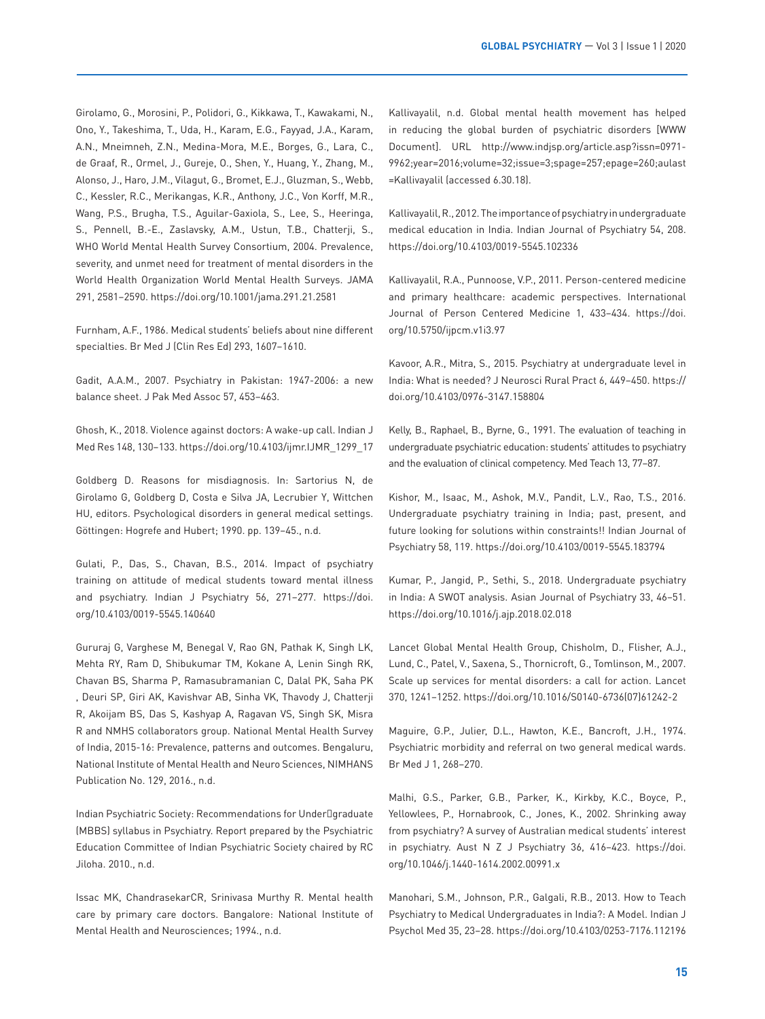Girolamo, G., Morosini, P., Polidori, G., Kikkawa, T., Kawakami, N., Ono, Y., Takeshima, T., Uda, H., Karam, E.G., Fayyad, J.A., Karam, A.N., Mneimneh, Z.N., Medina-Mora, M.E., Borges, G., Lara, C., de Graaf, R., Ormel, J., Gureje, O., Shen, Y., Huang, Y., Zhang, M., Alonso, J., Haro, J.M., Vilagut, G., Bromet, E.J., Gluzman, S., Webb, C., Kessler, R.C., Merikangas, K.R., Anthony, J.C., Von Korff, M.R., Wang, P.S., Brugha, T.S., Aguilar-Gaxiola, S., Lee, S., Heeringa, S., Pennell, B.-E., Zaslavsky, A.M., Ustun, T.B., Chatterji, S., WHO World Mental Health Survey Consortium, 2004. Prevalence, severity, and unmet need for treatment of mental disorders in the World Health Organization World Mental Health Surveys. JAMA 291, 2581–2590. https://doi.org/10.1001/jama.291.21.2581

Furnham, A.F., 1986. Medical students' beliefs about nine different specialties. Br Med J (Clin Res Ed) 293, 1607–1610.

Gadit, A.A.M., 2007. Psychiatry in Pakistan: 1947-2006: a new balance sheet. J Pak Med Assoc 57, 453–463.

Ghosh, K., 2018. Violence against doctors: A wake-up call. Indian J Med Res 148, 130–133. https://doi.org/10.4103/ijmr.IJMR\_1299\_17

Goldberg D. Reasons for misdiagnosis. In: Sartorius N, de Girolamo G, Goldberg D, Costa e Silva JA, Lecrubier Y, Wittchen HU, editors. Psychological disorders in general medical settings. Göttingen: Hogrefe and Hubert; 1990. pp. 139–45., n.d.

Gulati, P., Das, S., Chavan, B.S., 2014. Impact of psychiatry training on attitude of medical students toward mental illness and psychiatry. Indian J Psychiatry 56, 271–277. https://doi. org/10.4103/0019-5545.140640

Gururaj G, Varghese M, Benegal V, Rao GN, Pathak K, Singh LK, Mehta RY, Ram D, Shibukumar TM, Kokane A, Lenin Singh RK, Chavan BS, Sharma P, Ramasubramanian C, Dalal PK, Saha PK , Deuri SP, Giri AK, Kavishvar AB, Sinha VK, Thavody J, Chatterji R, Akoijam BS, Das S, Kashyap A, Ragavan VS, Singh SK, Misra R and NMHS collaborators group. National Mental Health Survey of India, 2015-16: Prevalence, patterns and outcomes. Bengaluru, National Institute of Mental Health and Neuro Sciences, NIMHANS Publication No. 129, 2016., n.d.

Indian Psychiatric Society: Recommendations for Under graduate (MBBS) syllabus in Psychiatry. Report prepared by the Psychiatric Education Committee of Indian Psychiatric Society chaired by RC Jiloha. 2010., n.d.

Issac MK, ChandrasekarCR, Srinivasa Murthy R. Mental health care by primary care doctors. Bangalore: National Institute of Mental Health and Neurosciences; 1994., n.d.

Kallivayalil, n.d. Global mental health movement has helped in reducing the global burden of psychiatric disorders [WWW Document]. URL http://www.indjsp.org/article.asp?issn=0971- 9962;year=2016;volume=32;issue=3;spage=257;epage=260;aulast =Kallivayalil (accessed 6.30.18).

Kallivayalil, R., 2012. The importance of psychiatry in undergraduate medical education in India. Indian Journal of Psychiatry 54, 208. https://doi.org/10.4103/0019-5545.102336

Kallivayalil, R.A., Punnoose, V.P., 2011. Person-centered medicine and primary healthcare: academic perspectives. International Journal of Person Centered Medicine 1, 433–434. https://doi. org/10.5750/ijpcm.v1i3.97

Kavoor, A.R., Mitra, S., 2015. Psychiatry at undergraduate level in India: What is needed? J Neurosci Rural Pract 6, 449–450. https:// doi.org/10.4103/0976-3147.158804

Kelly, B., Raphael, B., Byrne, G., 1991. The evaluation of teaching in undergraduate psychiatric education: students' attitudes to psychiatry and the evaluation of clinical competency. Med Teach 13, 77–87.

Kishor, M., Isaac, M., Ashok, M.V., Pandit, L.V., Rao, T.S., 2016. Undergraduate psychiatry training in India; past, present, and future looking for solutions within constraints!! Indian Journal of Psychiatry 58, 119. https://doi.org/10.4103/0019-5545.183794

Kumar, P., Jangid, P., Sethi, S., 2018. Undergraduate psychiatry in India: A SWOT analysis. Asian Journal of Psychiatry 33, 46–51. https://doi.org/10.1016/j.ajp.2018.02.018

Lancet Global Mental Health Group, Chisholm, D., Flisher, A.J., Lund, C., Patel, V., Saxena, S., Thornicroft, G., Tomlinson, M., 2007. Scale up services for mental disorders: a call for action. Lancet 370, 1241–1252. https://doi.org/10.1016/S0140-6736(07)61242-2

Maguire, G.P., Julier, D.L., Hawton, K.E., Bancroft, J.H., 1974. Psychiatric morbidity and referral on two general medical wards. Br Med J 1, 268–270.

Malhi, G.S., Parker, G.B., Parker, K., Kirkby, K.C., Boyce, P., Yellowlees, P., Hornabrook, C., Jones, K., 2002. Shrinking away from psychiatry? A survey of Australian medical students' interest in psychiatry. Aust N Z J Psychiatry 36, 416–423. https://doi. org/10.1046/j.1440-1614.2002.00991.x

Manohari, S.M., Johnson, P.R., Galgali, R.B., 2013. How to Teach Psychiatry to Medical Undergraduates in India?: A Model. Indian J Psychol Med 35, 23–28. https://doi.org/10.4103/0253-7176.112196